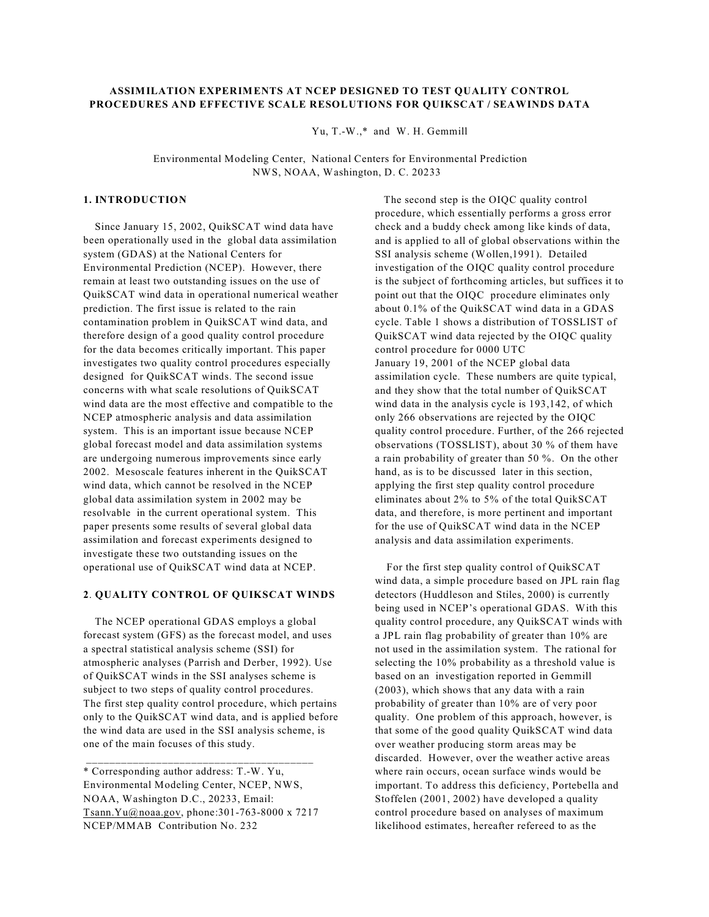## **ASSIMILATION EXPERIMENTS AT NCEP DESIGNED TO TEST QUALITY CONTROL PROCEDURES AND EFFECTIVE SCALE RESOLUTIONS FOR QUIKSCAT / SEAWINDS DATA**

Yu, T.-W.,\* and W. H. Gemmill

 Environmental Modeling Center, National Centers for Environmental Prediction NWS, NOAA, Washington, D. C. 20233

# **1. INTRODUCTION**

 Since January 15, 2002, QuikSCAT wind data have been operationally used in the global data assimilation system (GDAS) at the National Centers for Environmental Prediction (NCEP). However, there remain at least two outstanding issues on the use of QuikSCAT wind data in operational numerical weather prediction. The first issue is related to the rain contamination problem in QuikSCAT wind data, and therefore design of a good quality control procedure for the data becomes critically important. This paper investigates two quality control procedures especially designed for QuikSCAT winds. The second issue concerns with what scale resolutions of QuikSCAT wind data are the most effective and compatible to the NCEP atmospheric analysis and data assimilation system. This is an important issue because NCEP global forecast model and data assimilation systems are undergoing numerous improvements since early 2002. Mesoscale features inherent in the QuikSCAT wind data, which cannot be resolved in the NCEP global data assimilation system in 2002 may be resolvable in the current operational system. This paper presents some results of several global data assimilation and forecast experiments designed to investigate these two outstanding issues on the operational use of QuikSCAT wind data at NCEP.

#### **2**. **QUALITY CONTROL OF QUIKSCAT WINDS**

 The NCEP operational GDAS employs a global forecast system (GFS) as the forecast model, and uses a spectral statistical analysis scheme (SSI) for atmospheric analyses (Parrish and Derber, 1992). Use of QuikSCAT winds in the SSI analyses scheme is subject to two steps of quality control procedures. The first step quality control procedure, which pertains only to the QuikSCAT wind data, and is applied before the wind data are used in the SSI analysis scheme, is one of the main focuses of this study.

 The second step is the OIQC quality control procedure, which essentially performs a gross error check and a buddy check among like kinds of data, and is applied to all of global observations within the SSI analysis scheme (Wollen,1991). Detailed investigation of the OIQC quality control procedure is the subject of forthcoming articles, but suffices it to point out that the OIQC procedure eliminates only about 0.1% of the QuikSCAT wind data in a GDAS cycle. Table 1 shows a distribution of TOSSLIST of QuikSCAT wind data rejected by the OIQC quality control procedure for 0000 UTC January 19, 2001 of the NCEP global data assimilation cycle. These numbers are quite typical, and they show that the total number of QuikSCAT wind data in the analysis cycle is 193,142, of which only 266 observations are rejected by the OIQC quality control procedure. Further, of the 266 rejected observations (TOSSLIST), about 30 % of them have a rain probability of greater than 50 %. On the other hand, as is to be discussed later in this section, applying the first step quality control procedure eliminates about 2% to 5% of the total QuikSCAT data, and therefore, is more pertinent and important for the use of QuikSCAT wind data in the NCEP analysis and data assimilation experiments.

 For the first step quality control of QuikSCAT wind data, a simple procedure based on JPL rain flag detectors (Huddleson and Stiles, 2000) is currently being used in NCEP's operational GDAS. With this quality control procedure, any QuikSCAT winds with a JPL rain flag probability of greater than 10% are not used in the assimilation system. The rational for selecting the 10% probability as a threshold value is based on an investigation reported in Gemmill (2003), which shows that any data with a rain probability of greater than 10% are of very poor quality. One problem of this approach, however, is that some of the good quality QuikSCAT wind data over weather producing storm areas may be discarded. However, over the weather active areas where rain occurs, ocean surface winds would be important. To address this deficiency, Portebella and Stoffelen (2001, 2002) have developed a quality control procedure based on analyses of maximum likelihood estimates, hereafter refereed to as the

<sup>\*</sup> Corresponding author address: T.-W. Yu, Environmental Modeling Center, NCEP, NWS, NOAA, Washington D.C., 20233, Email: [Tsann.Yu@noaa.gov](mailto:Tsann.Yu@noaa.gov), phone:301-763-8000 x 7217 NCEP/MMAB Contribution No. 232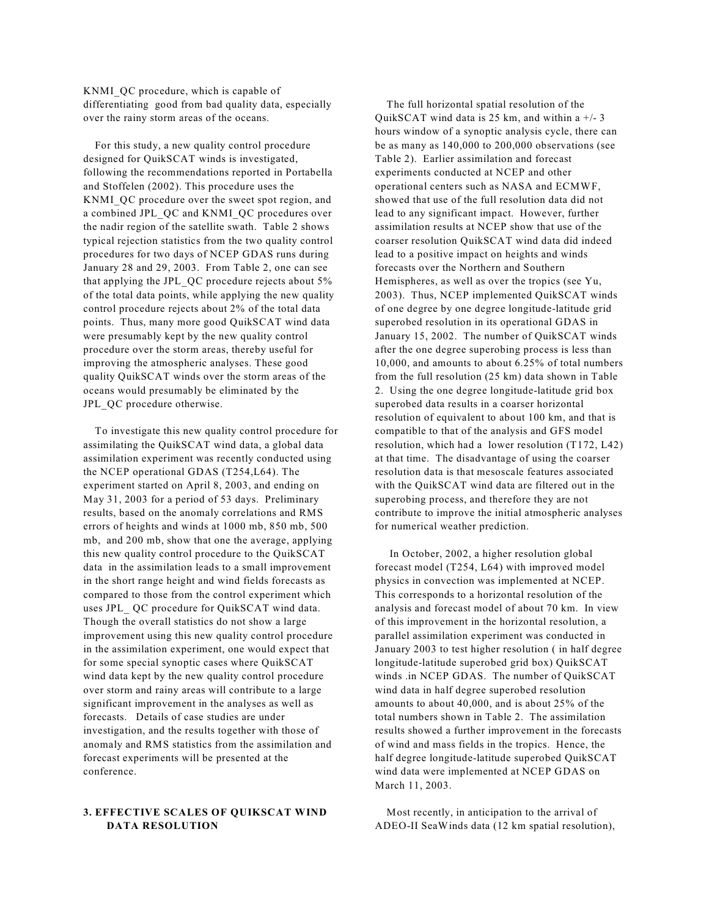KNMI\_QC procedure, which is capable of differentiating good from bad quality data, especially over the rainy storm areas of the oceans.

 For this study, a new quality control procedure designed for QuikSCAT winds is investigated, following the recommendations reported in Portabella and Stoffelen (2002). This procedure uses the KNMI\_QC procedure over the sweet spot region, and a combined JPL\_QC and KNMI\_QC procedures over the nadir region of the satellite swath. Table 2 shows typical rejection statistics from the two quality control procedures for two days of NCEP GDAS runs during January 28 and 29, 2003. From Table 2, one can see that applying the JPL\_QC procedure rejects about 5% of the total data points, while applying the new quality control procedure rejects about 2% of the total data points. Thus, many more good QuikSCAT wind data were presumably kept by the new quality control procedure over the storm areas, thereby useful for improving the atmospheric analyses. These good quality QuikSCAT winds over the storm areas of the oceans would presumably be eliminated by the JPL\_QC procedure otherwise.

 To investigate this new quality control procedure for assimilating the QuikSCAT wind data, a global data assimilation experiment was recently conducted using the NCEP operational GDAS (T254,L64). The experiment started on April 8, 2003, and ending on May 31, 2003 for a period of 53 days. Preliminary results, based on the anomaly correlations and RMS errors of heights and winds at 1000 mb, 850 mb, 500 mb, and 200 mb, show that one the average, applying this new quality control procedure to the QuikSCAT data in the assimilation leads to a small improvement in the short range height and wind fields forecasts as compared to those from the control experiment which uses JPL\_ QC procedure for QuikSCAT wind data. Though the overall statistics do not show a large improvement using this new quality control procedure in the assimilation experiment, one would expect that for some special synoptic cases where QuikSCAT wind data kept by the new quality control procedure over storm and rainy areas will contribute to a large significant improvement in the analyses as well as forecasts. Details of case studies are under investigation, and the results together with those of anomaly and RMS statistics from the assimilation and forecast experiments will be presented at the conference.

## **3. EFFECTIVE SCALES OF QUIKSCAT WIND DATA RESOLUTION**

 The full horizontal spatial resolution of the QuikSCAT wind data is 25 km, and within a  $+/- 3$ hours window of a synoptic analysis cycle, there can be as many as 140,000 to 200,000 observations (see Table 2). Earlier assimilation and forecast experiments conducted at NCEP and other operational centers such as NASA and ECMWF, showed that use of the full resolution data did not lead to any significant impact. However, further assimilation results at NCEP show that use of the coarser resolution QuikSCAT wind data did indeed lead to a positive impact on heights and winds forecasts over the Northern and Southern Hemispheres, as well as over the tropics (see Yu, 2003). Thus, NCEP implemented QuikSCAT winds of one degree by one degree longitude-latitude grid superobed resolution in its operational GDAS in January 15, 2002. The number of QuikSCAT winds after the one degree superobing process is less than 10,000, and amounts to about 6.25% of total numbers from the full resolution (25 km) data shown in Table 2. Using the one degree longitude-latitude grid box superobed data results in a coarser horizontal resolution of equivalent to about 100 km, and that is compatible to that of the analysis and GFS model resolution, which had a lower resolution (T172, L42) at that time. The disadvantage of using the coarser resolution data is that mesoscale features associated with the QuikSCAT wind data are filtered out in the superobing process, and therefore they are not contribute to improve the initial atmospheric analyses for numerical weather prediction.

 In October, 2002, a higher resolution global forecast model (T254, L64) with improved model physics in convection was implemented at NCEP. This corresponds to a horizontal resolution of the analysis and forecast model of about 70 km. In view of this improvement in the horizontal resolution, a parallel assimilation experiment was conducted in January 2003 to test higher resolution ( in half degree longitude-latitude superobed grid box) QuikSCAT winds .in NCEP GDAS. The number of QuikSCAT wind data in half degree superobed resolution amounts to about 40,000, and is about 25% of the total numbers shown in Table 2. The assimilation results showed a further improvement in the forecasts of wind and mass fields in the tropics. Hence, the half degree longitude-latitude superobed QuikSCAT wind data were implemented at NCEP GDAS on March 11, 2003.

 Most recently, in anticipation to the arrival of ADEO-II SeaWinds data (12 km spatial resolution),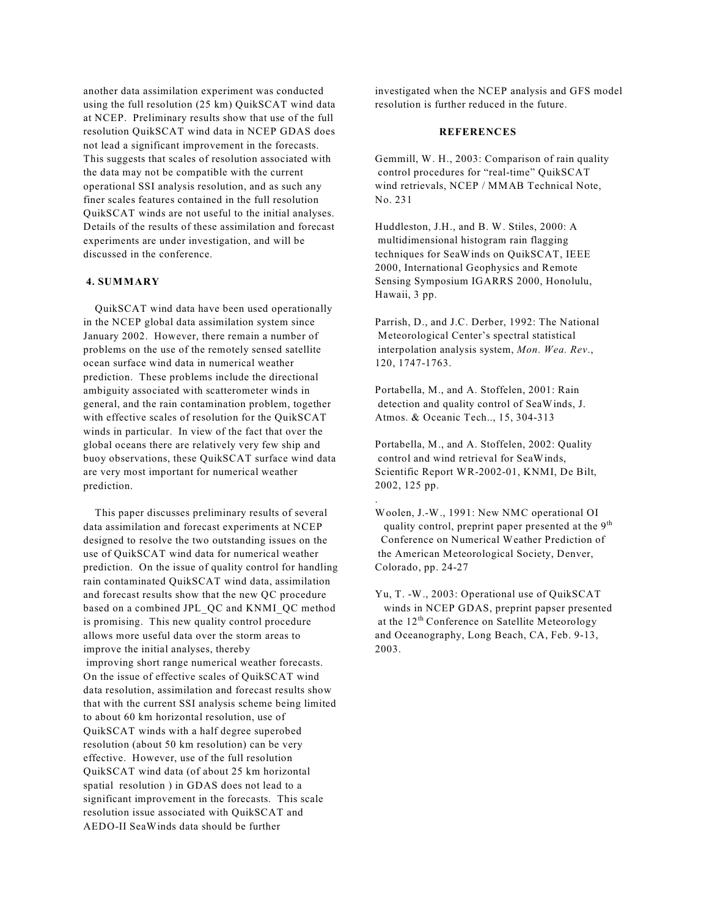another data assimilation experiment was conducted using the full resolution (25 km) QuikSCAT wind data at NCEP. Preliminary results show that use of the full resolution QuikSCAT wind data in NCEP GDAS does not lead a significant improvement in the forecasts. This suggests that scales of resolution associated with the data may not be compatible with the current operational SSI analysis resolution, and as such any finer scales features contained in the full resolution QuikSCAT winds are not useful to the initial analyses. Details of the results of these assimilation and forecast experiments are under investigation, and will be discussed in the conference.

#### **4. SUMMARY**

 QuikSCAT wind data have been used operationally in the NCEP global data assimilation system since January 2002. However, there remain a number of problems on the use of the remotely sensed satellite ocean surface wind data in numerical weather prediction. These problems include the directional ambiguity associated with scatterometer winds in general, and the rain contamination problem, together with effective scales of resolution for the QuikSCAT winds in particular. In view of the fact that over the global oceans there are relatively very few ship and buoy observations, these QuikSCAT surface wind data are very most important for numerical weather prediction.

 This paper discusses preliminary results of several data assimilation and forecast experiments at NCEP designed to resolve the two outstanding issues on the use of QuikSCAT wind data for numerical weather prediction. On the issue of quality control for handling rain contaminated QuikSCAT wind data, assimilation and forecast results show that the new QC procedure based on a combined JPL\_QC and KNMI\_QC method is promising. This new quality control procedure allows more useful data over the storm areas to improve the initial analyses, thereby improving short range numerical weather forecasts. On the issue of effective scales of QuikSCAT wind data resolution, assimilation and forecast results show that with the current SSI analysis scheme being limited to about 60 km horizontal resolution, use of QuikSCAT winds with a half degree superobed resolution (about 50 km resolution) can be very effective. However, use of the full resolution QuikSCAT wind data (of about 25 km horizontal spatial resolution ) in GDAS does not lead to a significant improvement in the forecasts. This scale resolution issue associated with QuikSCAT and AEDO-II SeaWinds data should be further

investigated when the NCEP analysis and GFS model resolution is further reduced in the future.

### **REFERENCES**

Gemmill, W. H., 2003: Comparison of rain quality control procedures for "real-time" QuikSCAT wind retrievals, NCEP / MMAB Technical Note, No. 231

Huddleston, J.H., and B. W. Stiles, 2000: A multidimensional histogram rain flagging techniques for SeaWinds on QuikSCAT, IEEE 2000, International Geophysics and Remote Sensing Symposium IGARRS 2000, Honolulu, Hawaii, 3 pp.

Parrish, D., and J.C. Derber, 1992: The National Meteorological Center's spectral statistical interpolation analysis system, *Mon. Wea. Rev*., 120, 1747-1763.

Portabella, M., and A. Stoffelen, 2001: Rain detection and quality control of SeaWinds, J. Atmos. & Oceanic Tech.., 15, 304-313

Portabella, M., and A. Stoffelen, 2002: Quality control and wind retrieval for SeaWinds, Scientific Report WR-2002-01, KNMI, De Bilt, 2002, 125 pp.

.

Woolen, J.-W., 1991: New NMC operational OI quality control, preprint paper presented at the 9<sup>th</sup> Conference on Numerical Weather Prediction of the American Meteorological Society, Denver, Colorado, pp. 24-27

Yu, T. -W., 2003: Operational use of QuikSCAT winds in NCEP GDAS, preprint papser presented at the 12<sup>th</sup> Conference on Satellite Meteorology and Oceanography, Long Beach, CA, Feb. 9-13, 2003.